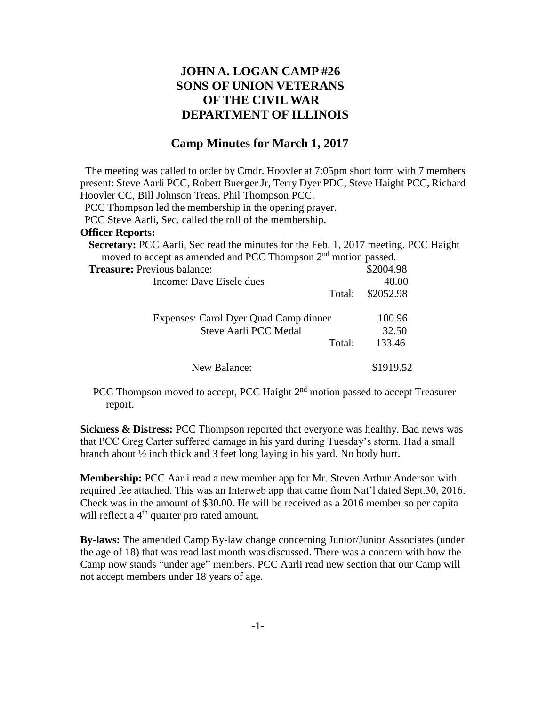## **JOHN A. LOGAN CAMP #26 SONS OF UNION VETERANS OF THE CIVIL WAR DEPARTMENT OF ILLINOIS**

## **Camp Minutes for March 1, 2017**

The meeting was called to order by Cmdr. Hoovler at 7:05pm short form with 7 members present: Steve Aarli PCC, Robert Buerger Jr, Terry Dyer PDC, Steve Haight PCC, Richard Hoovler CC, Bill Johnson Treas, Phil Thompson PCC.

PCC Thompson led the membership in the opening prayer.

PCC Steve Aarli, Sec. called the roll of the membership.

## **Officer Reports:**

| <b>Secretary:</b> PCC Aarli, Sec read the minutes for the Feb. 1, 2017 meeting. PCC Haight |           |
|--------------------------------------------------------------------------------------------|-----------|
| moved to accept as amended and PCC Thompson 2 <sup>nd</sup> motion passed.                 |           |
| <b>Treasure:</b> Previous balance:                                                         | \$2004.98 |
| Income: Dave Eisele dues                                                                   | 48.00     |
| Total:                                                                                     | \$2052.98 |
| Expenses: Carol Dyer Quad Camp dinner                                                      | 100.96    |
| Steve Aarli PCC Medal                                                                      | 32.50     |
| Total:                                                                                     | 133.46    |
| New Balance:                                                                               | \$1919.52 |

PCC Thompson moved to accept, PCC Haight 2<sup>nd</sup> motion passed to accept Treasurer report.

**Sickness & Distress:** PCC Thompson reported that everyone was healthy. Bad news was that PCC Greg Carter suffered damage in his yard during Tuesday's storm. Had a small branch about ½ inch thick and 3 feet long laying in his yard. No body hurt.

**Membership:** PCC Aarli read a new member app for Mr. Steven Arthur Anderson with required fee attached. This was an Interweb app that came from Nat'l dated Sept.30, 2016. Check was in the amount of \$30.00. He will be received as a 2016 member so per capita will reflect a  $4<sup>th</sup>$  quarter pro rated amount.

**By-laws:** The amended Camp By-law change concerning Junior/Junior Associates (under the age of 18) that was read last month was discussed. There was a concern with how the Camp now stands "under age" members. PCC Aarli read new section that our Camp will not accept members under 18 years of age.